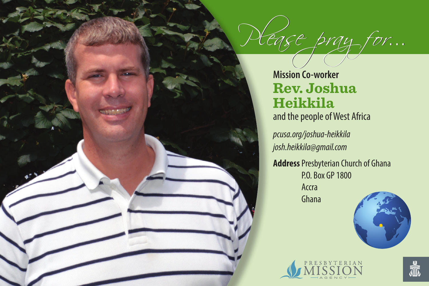**Mission Co-worker Rev. Joshua Heikkila** and the people of West Africa

Egge pray for...

*pcusa.org/joshua-heikkila josh.heikkila@gmail.com*

**Address**Presbyterian Church of Ghana P.O. Box GP 1800 Accra Ghana